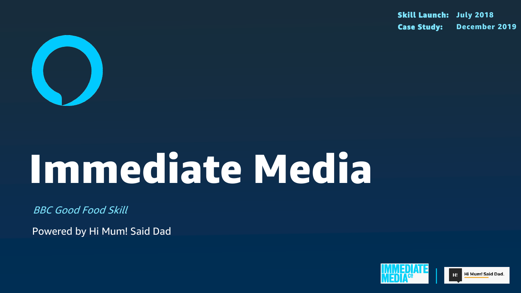

# Immediate Media

BBC Good Food Skill

Powered by Hi Mum! Said Dad

#### Skill Launch: July 2018 Case Study: December 2019

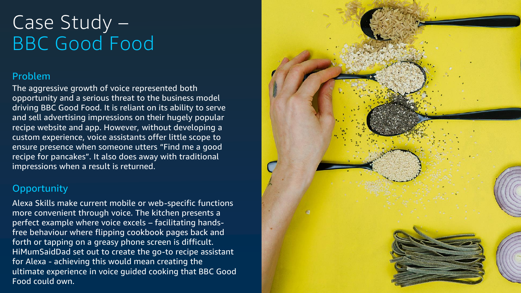### Problem

The aggressive growth of voice represented both opportunity and a serious threat to the business model driving BBC Good Food. It is reliant on its ability to serve and sell advertising impressions on their hugely popular recipe website and app. However, without developing a custom experience, voice assistants offer little scope to ensure presence when someone utters "Find me a good recipe for pancakes". It also does away with traditional impressions when a result is returned.

### **Opportunity**

## Case Study – BBC Good Food

Alexa Skills make current mobile or web-specific functions more convenient through voice. The kitchen presents a perfect example where voice excels – facilitating handsfree behaviour where flipping cookbook pages back and forth or tapping on a greasy phone screen is difficult. HiMumSaidDad set out to create the go-to recipe assistant for Alexa - achieving this would mean creating the ultimate experience in voice guided cooking that BBC Good Food could own.

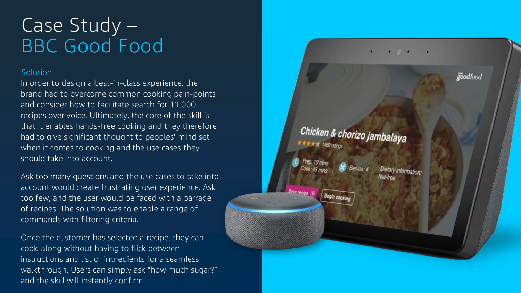#### Solution

## Case Study – BBC Good Food

In order to design a best -in -class experience, the brand had to overcome common cooking pain -points and consider how to facilitate search for 11,000 recipes over voice. Ultimately, the core of the skill is that it enables hands -free cooking and they therefore had to give significant thought to peoples' mind set when it comes to cooking and the use cases they should take into account.

Ask too many questions and the use cases to take into account would create frustrating user experience. Ask too few, and the user would be faced with a barrage of recipes. The solution was to enable a range of commands with filtering criteria.

Once the customer has selected a recipe, they can cook -along without having to flick between instructions and list of ingredients for a seamless walkthrough. Users can simply ask "how much sugar?" and the skill will instantly confirm.

## Chicken & chorizo jambalaya

Begin cooking

goodfood

Dietary informat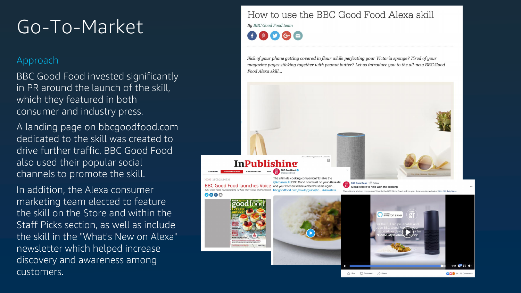

## Go-To-Market

### Approach

BBC Good Food invested significantly in PR around the launch of the skill, which they featured in both consumer and industry press.

A landing page on bbcgoodfood.com dedicated to the skill was created to drive further traffic. BBC Good Food also used their popular social channels to promote the skill.

In addition, the Alexa consumer marketing team elected to feature the skill on the Store and within the Staff Picks section, as well as include the skill in the "What's New on Alexa" newsletter which helped increase discovery and awareness among customers.

### How to use the BBC Good Food Alexa skill

**Bu BBC Good Food team**  $\n **f**$   $\n **o**$   $\n **g**$   $\n **h**$ 

Sick of your phone getting covered in flour while perfecting your Victoria sponge? Tired of your magazine pages sticking together with peanut butter? Let us introduce you to the all-new BBC Good Food Alexa skill...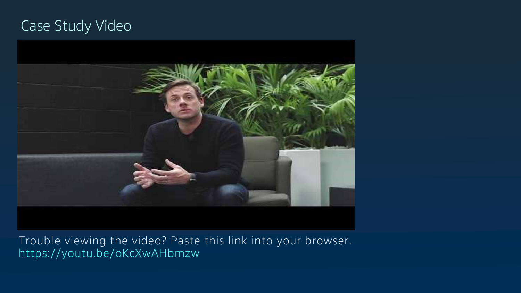Trouble viewing the video? Paste this link into your browser. https://youtu.be/oKcXwAHbmzw

### Case Study Video

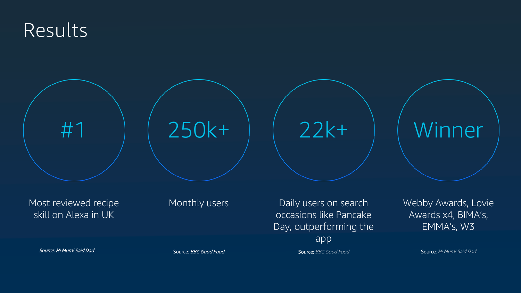### Results

#1

Most reviewed recipe skill on Alexa in UK

Monthly users **Daily users on search** occasions like Pancake Day, outperforming the app

Source: Hi Mum! Said Dad Source: BBC Good Food Source: BBC Good Food Source: BBC Good Food

Webby Awards, Lovie Awards x4, BIMA's, EMMA's, W3



Source: Hi Mum! Said Dad